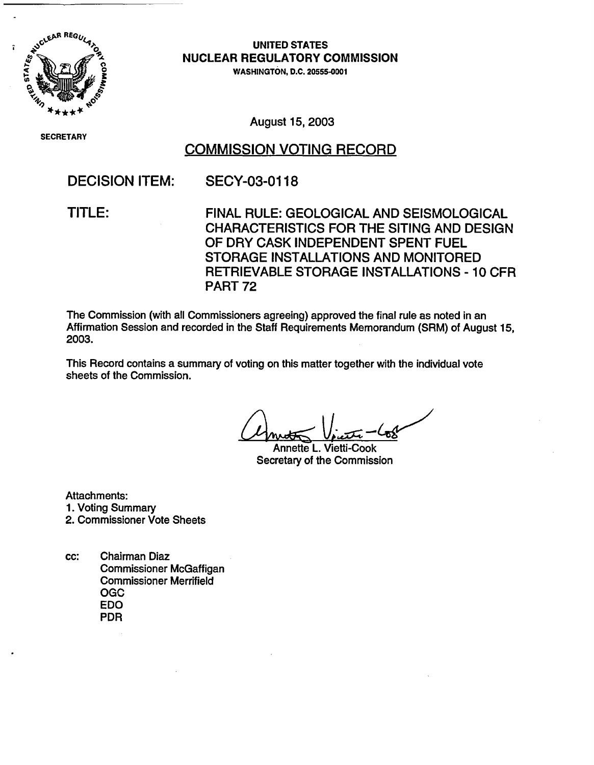

**SECRETARY** 

**UNITED STATES NUCLEAR REGULATORY COMMISSION**

WASHINGTON, D.C. 20555-0001

August 15, 2003

## COMMISSION VOTING RECORD

## DECISION ITEM: SECY-03-0118

TITLE: FINAL RULE: GEOLOGICAL AND SEISMOLOGICAL CHARACTERISTICS FOR THE SITING AND DESIGN OF DRY CASK INDEPENDENT SPENT FUEL STORAGE INSTALLATIONS AND MONITORED RETRIEVABLE STORAGE INSTALLATIONS - 10 CFR PART 72

The Commission (with all Commissioners agreeing) approved the final rule as noted in an Affirmation Session and recorded in the Staff Requirements Memorandum (SRM) of August 15, 2003.

This Record contains a summary of voting on this matter together with the individual vote sheets of the Commission.

Annette L. Vietti-Cook Secretary of the Commission

Attachments:

- 1. Voting Summary
- 2. Commissioner Vote Sheets
- cc: Chairman Diaz Commissioner McGaffigan Commissioner Merrifield OGC EDO PDR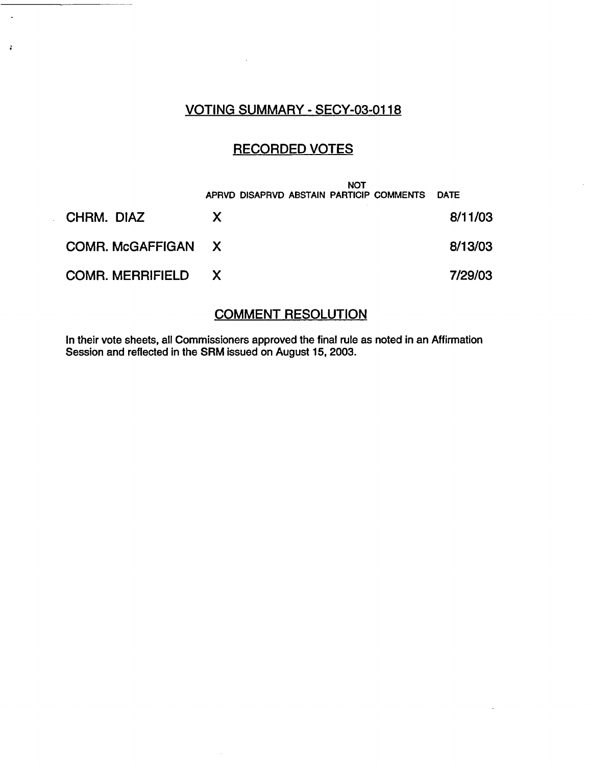## VOTING SUMMARY - SECY-03-0118

 $\bar{z}$ 

 $\ddot{\phantom{a}}$ 

 $\mathfrak{g}$ 

## RECORDED VOTES

|                           | <b>NOT</b><br>APRVD DISAPRVD ABSTAIN PARTICIP COMMENTS | <b>DATE</b> |
|---------------------------|--------------------------------------------------------|-------------|
| CHRM. DIAZ                | $\mathsf{X}$                                           | 8/11/03     |
| COMR. McGAFFIGAN X        |                                                        | 8/13/03     |
| <b>COMR. MERRIFIELD X</b> |                                                        | 7/29/03     |

## COMMENT RESOLUTION

In their vote sheets, all Commissioners approved the final rule as noted in an Affirmation Session and reflected in the SRM issued on August 15, 2003.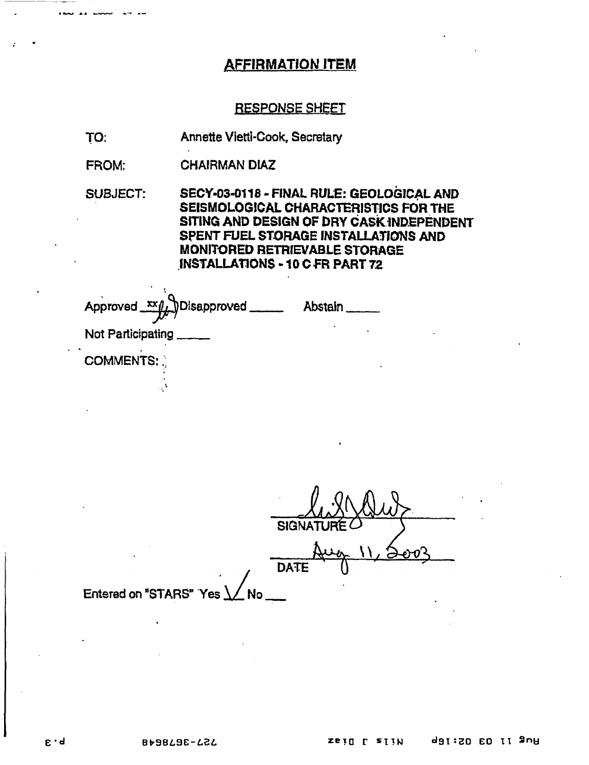### **AFFIRMATION ITEM**

#### **RESPONSE SHEET**

TO: Annette Vietti-Cook, Secretary

**CHAIRMAN DIAZ** FROM:

**SUBJECT:** SECY-03-0118 - FINAL RULE: GEOLOGICAL AND SEISMOLOGICAL CHARACTERISTICS FOR THE SITING AND DESIGN OF DRY CASK INDEPENDENT SPENT FUEL STORAGE INSTALLATIONS AND MONITORED RETRIEVABLE STORAGE INSTALLATIONS - 10 C FR PART 72

| Approved xx // Disapproved _____ | Abstain |
|----------------------------------|---------|
| Not Participating                |         |
| <b>COMMENTS:</b>                 |         |
|                                  |         |

**SIGN. DATE** Entered on "STARS" Yes **No**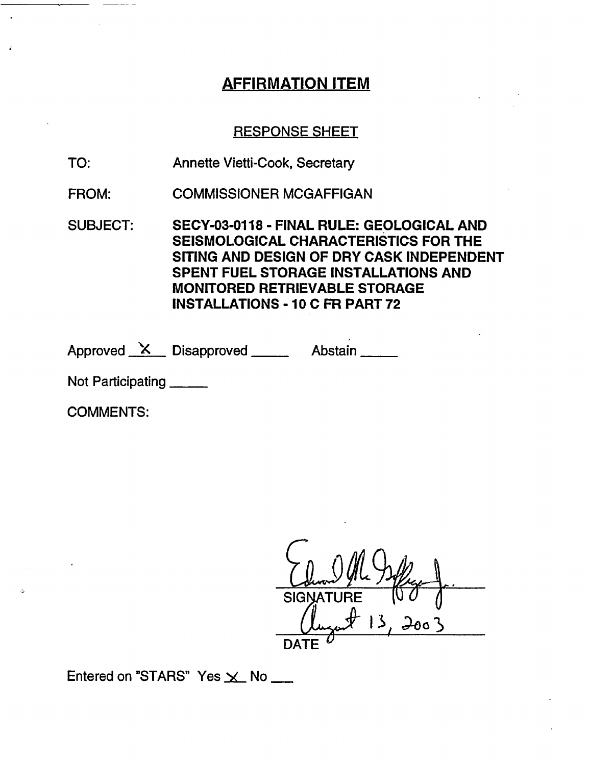# AFFIRMATION ITEM

### RESPONSE SHEET

- TO: Annette Vietti-Cook, Secretary
- FROM: COMMISSIONER MCGAFFIGAN
- SUBJECT: SECY-03-0118 FINAL RULE: GEOLOGICAL AND SEISMOLOGICAL CHARACTERISTICS FOR THE SITING AND DESIGN OF DRY CASK INDEPENDENT SPENT FUEL STORAGE INSTALLATIONS AND MONITORED RETRIEVABLE STORAGE INSTALLATIONS - 10 C FR PART 72

Approved X Disapproved Abstain

Not Participating \_\_\_\_\_\_

COMMENTS:

SIGNATURE  $13,2003$ **DATE U**

Entered on "STARS" Yes  $\times$  No \_\_